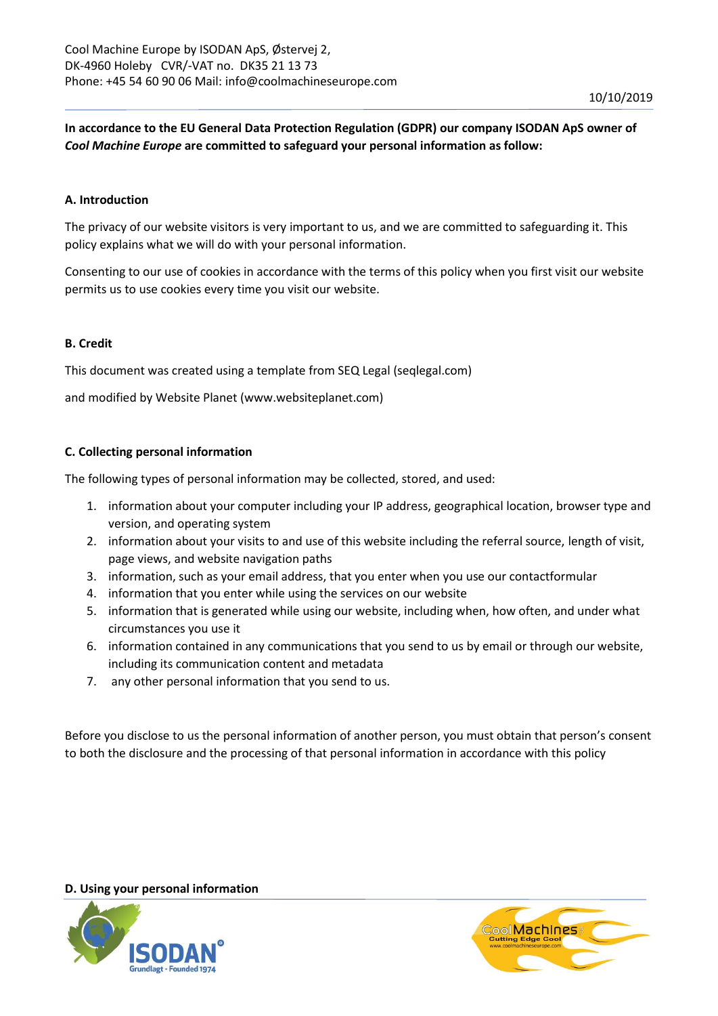**In accordance to the EU General Data Protection Regulation (GDPR) our company ISODAN ApS owner of**  *Cool Machine Europe* **are committed to safeguard your personal information as follow:**

## **A. Introduction**

The privacy of our website visitors is very important to us, and we are committed to safeguarding it. This policy explains what we will do with your personal information.

Consenting to our use of cookies in accordance with the terms of this policy when you first visit our website permits us to use cookies every time you visit our website.

#### **B. Credit**

This document was created using a template from SEQ Legal (seqlegal.com)

and modified by Website Planet (www.websiteplanet.com)

## **C. Collecting personal information**

The following types of personal information may be collected, stored, and used:

- 1. information about your computer including your IP address, geographical location, browser type and version, and operating system
- 2. information about your visits to and use of this website including the referral source, length of visit, page views, and website navigation paths
- 3. information, such as your email address, that you enter when you use our contactformular
- 4. information that you enter while using the services on our website
- 5. information that is generated while using our website, including when, how often, and under what circumstances you use it
- 6. information contained in any communications that you send to us by email or through our website, including its communication content and metadata
- 7. any other personal information that you send to us.

Before you disclose to us the personal information of another person, you must obtain that person's consent to both the disclosure and the processing of that personal information in accordance with this policy

#### **D. Using your personal information**



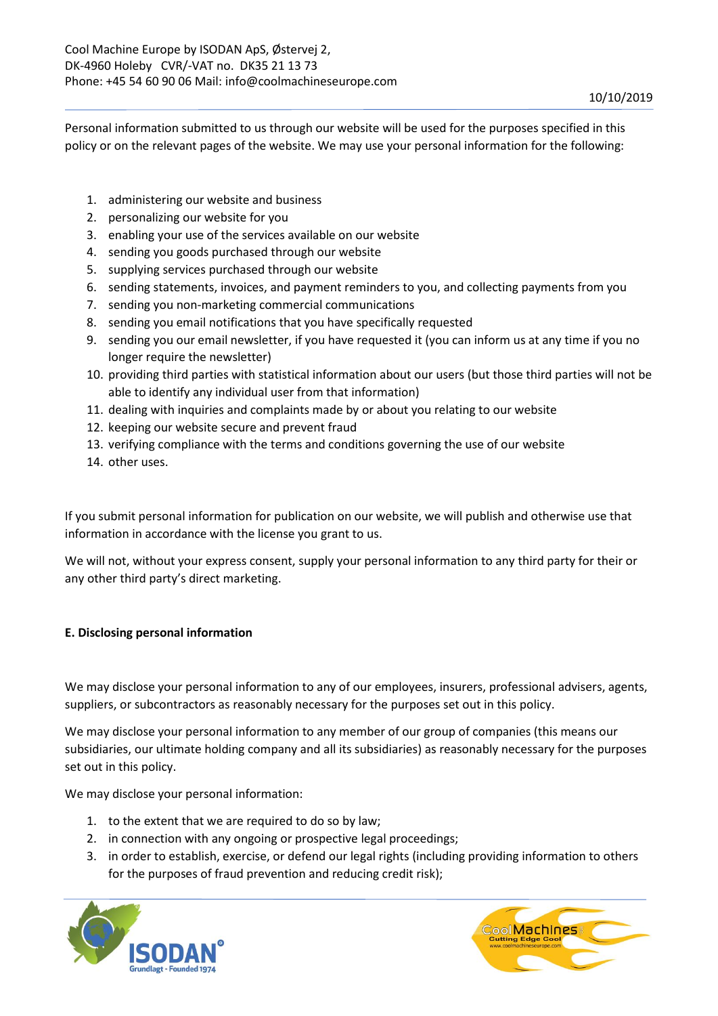Personal information submitted to us through our website will be used for the purposes specified in this policy or on the relevant pages of the website. We may use your personal information for the following:

- 1. administering our website and business
- 2. personalizing our website for you
- 3. enabling your use of the services available on our website
- 4. sending you goods purchased through our website
- 5. supplying services purchased through our website
- 6. sending statements, invoices, and payment reminders to you, and collecting payments from you
- 7. sending you non-marketing commercial communications
- 8. sending you email notifications that you have specifically requested
- 9. sending you our email newsletter, if you have requested it (you can inform us at any time if you no longer require the newsletter)
- 10. providing third parties with statistical information about our users (but those third parties will not be able to identify any individual user from that information)
- 11. dealing with inquiries and complaints made by or about you relating to our website
- 12. keeping our website secure and prevent fraud
- 13. verifying compliance with the terms and conditions governing the use of our website
- 14. other uses.

If you submit personal information for publication on our website, we will publish and otherwise use that information in accordance with the license you grant to us.

We will not, without your express consent, supply your personal information to any third party for their or any other third party's direct marketing.

# **E. Disclosing personal information**

We may disclose your personal information to any of our employees, insurers, professional advisers, agents, suppliers, or subcontractors as reasonably necessary for the purposes set out in this policy.

We may disclose your personal information to any member of our group of companies (this means our subsidiaries, our ultimate holding company and all its subsidiaries) as reasonably necessary for the purposes set out in this policy.

We may disclose your personal information:

- 1. to the extent that we are required to do so by law;
- 2. in connection with any ongoing or prospective legal proceedings;
- 3. in order to establish, exercise, or defend our legal rights (including providing information to others for the purposes of fraud prevention and reducing credit risk);



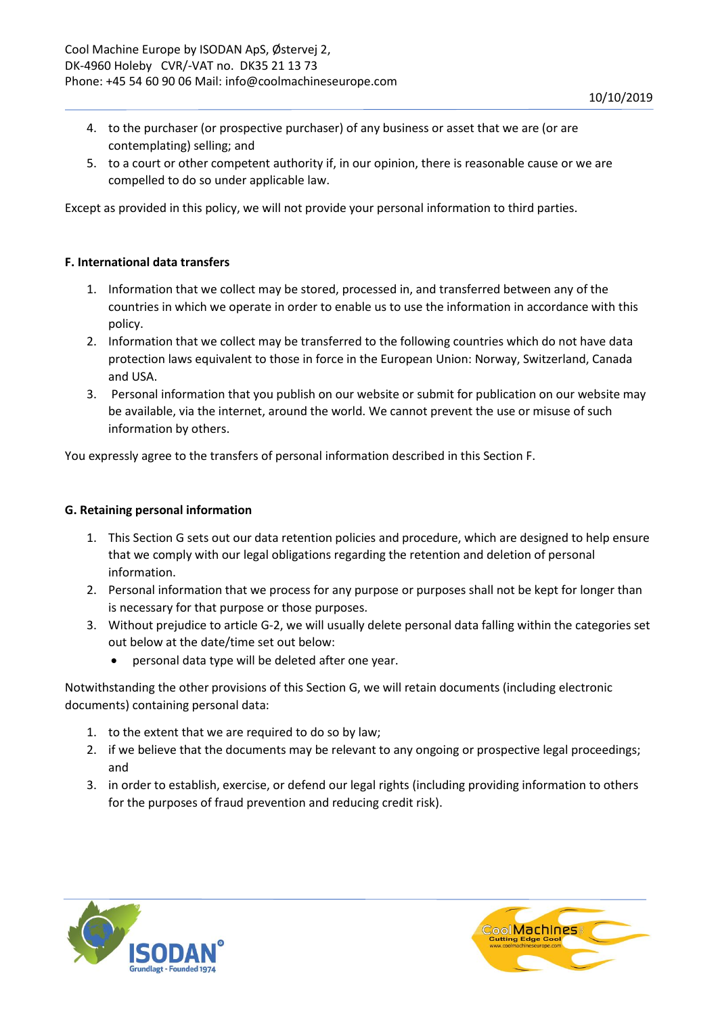- 4. to the purchaser (or prospective purchaser) of any business or asset that we are (or are contemplating) selling; and
- 5. to a court or other competent authority if, in our opinion, there is reasonable cause or we are compelled to do so under applicable law.

Except as provided in this policy, we will not provide your personal information to third parties.

## **F. International data transfers**

- 1. Information that we collect may be stored, processed in, and transferred between any of the countries in which we operate in order to enable us to use the information in accordance with this policy.
- 2. Information that we collect may be transferred to the following countries which do not have data protection laws equivalent to those in force in the European Union: Norway, Switzerland, Canada and USA.
- 3. Personal information that you publish on our website or submit for publication on our website may be available, via the internet, around the world. We cannot prevent the use or misuse of such information by others.

You expressly agree to the transfers of personal information described in this Section F.

## **G. Retaining personal information**

- 1. This Section G sets out our data retention policies and procedure, which are designed to help ensure that we comply with our legal obligations regarding the retention and deletion of personal information.
- 2. Personal information that we process for any purpose or purposes shall not be kept for longer than is necessary for that purpose or those purposes.
- 3. Without prejudice to article G-2, we will usually delete personal data falling within the categories set out below at the date/time set out below:
	- personal data type will be deleted after one year.

Notwithstanding the other provisions of this Section G, we will retain documents (including electronic documents) containing personal data:

- 1. to the extent that we are required to do so by law;
- 2. if we believe that the documents may be relevant to any ongoing or prospective legal proceedings; and
- 3. in order to establish, exercise, or defend our legal rights (including providing information to others for the purposes of fraud prevention and reducing credit risk).



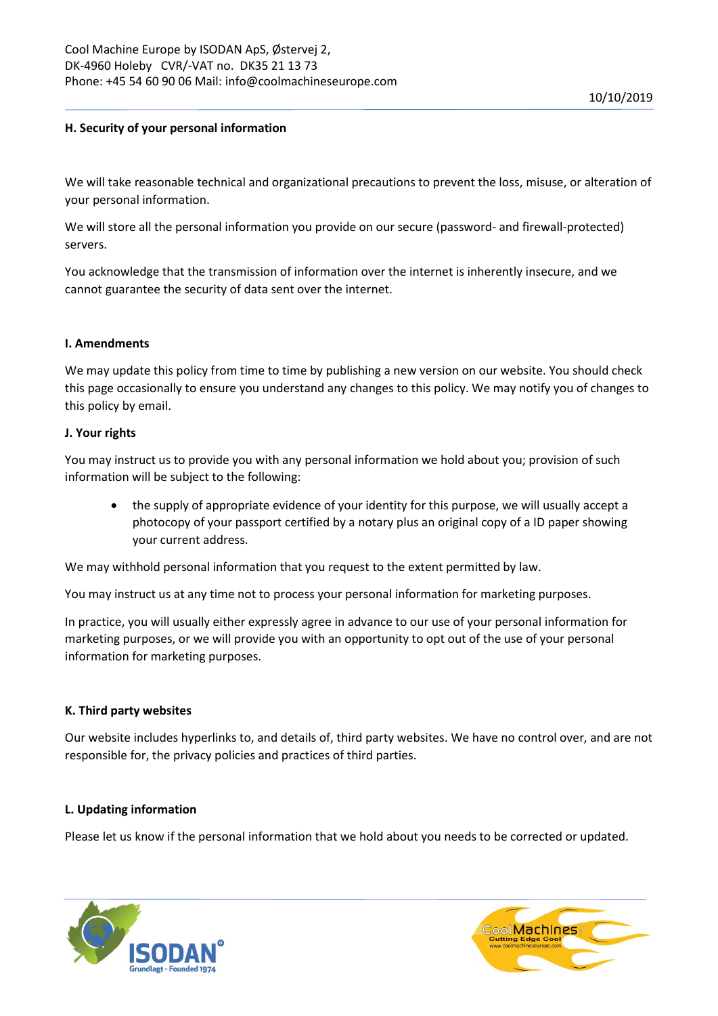## **H. Security of your personal information**

We will take reasonable technical and organizational precautions to prevent the loss, misuse, or alteration of your personal information.

We will store all the personal information you provide on our secure (password- and firewall-protected) servers.

You acknowledge that the transmission of information over the internet is inherently insecure, and we cannot guarantee the security of data sent over the internet.

#### **I. Amendments**

We may update this policy from time to time by publishing a new version on our website. You should check this page occasionally to ensure you understand any changes to this policy. We may notify you of changes to this policy by email.

#### **J. Your rights**

You may instruct us to provide you with any personal information we hold about you; provision of such information will be subject to the following:

• the supply of appropriate evidence of your identity for this purpose, we will usually accept a photocopy of your passport certified by a notary plus an original copy of a ID paper showing your current address.

We may withhold personal information that you request to the extent permitted by law.

You may instruct us at any time not to process your personal information for marketing purposes.

In practice, you will usually either expressly agree in advance to our use of your personal information for marketing purposes, or we will provide you with an opportunity to opt out of the use of your personal information for marketing purposes.

#### **K. Third party websites**

Our website includes hyperlinks to, and details of, third party websites. We have no control over, and are not responsible for, the privacy policies and practices of third parties.

#### **L. Updating information**

Please let us know if the personal information that we hold about you needs to be corrected or updated.